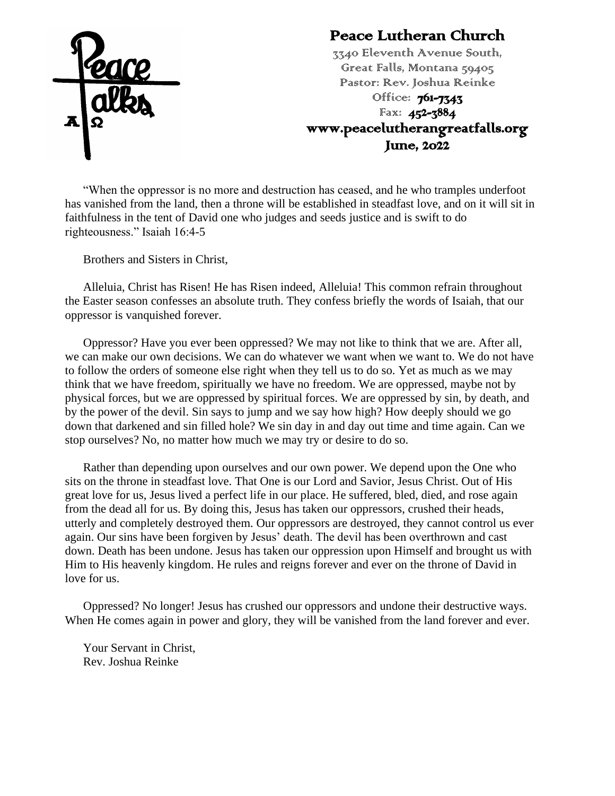

#### Peace Lutheran Church

3340 Eleventh Avenue South, Great Falls, Montana 59405 Pastor: Rev. Joshua Reinke Office: **761-7343** Fax: 452-3884 www.peacelutherangreatfalls.org June, 2022

"When the oppressor is no more and destruction has ceased, and he who tramples underfoot has vanished from the land, then a throne will be established in steadfast love, and on it will sit in faithfulness in the tent of David one who judges and seeds justice and is swift to do righteousness." Isaiah 16:4-5

Brothers and Sisters in Christ,

Alleluia, Christ has Risen! He has Risen indeed, Alleluia! This common refrain throughout the Easter season confesses an absolute truth. They confess briefly the words of Isaiah, that our oppressor is vanquished forever.

Oppressor? Have you ever been oppressed? We may not like to think that we are. After all, we can make our own decisions. We can do whatever we want when we want to. We do not have to follow the orders of someone else right when they tell us to do so. Yet as much as we may think that we have freedom, spiritually we have no freedom. We are oppressed, maybe not by physical forces, but we are oppressed by spiritual forces. We are oppressed by sin, by death, and by the power of the devil. Sin says to jump and we say how high? How deeply should we go down that darkened and sin filled hole? We sin day in and day out time and time again. Can we stop ourselves? No, no matter how much we may try or desire to do so.

Rather than depending upon ourselves and our own power. We depend upon the One who sits on the throne in steadfast love. That One is our Lord and Savior, Jesus Christ. Out of His great love for us, Jesus lived a perfect life in our place. He suffered, bled, died, and rose again from the dead all for us. By doing this, Jesus has taken our oppressors, crushed their heads, utterly and completely destroyed them. Our oppressors are destroyed, they cannot control us ever again. Our sins have been forgiven by Jesus' death. The devil has been overthrown and cast down. Death has been undone. Jesus has taken our oppression upon Himself and brought us with Him to His heavenly kingdom. He rules and reigns forever and ever on the throne of David in love for us.

Oppressed? No longer! Jesus has crushed our oppressors and undone their destructive ways. When He comes again in power and glory, they will be vanished from the land forever and ever.

Your Servant in Christ, Rev. Joshua Reinke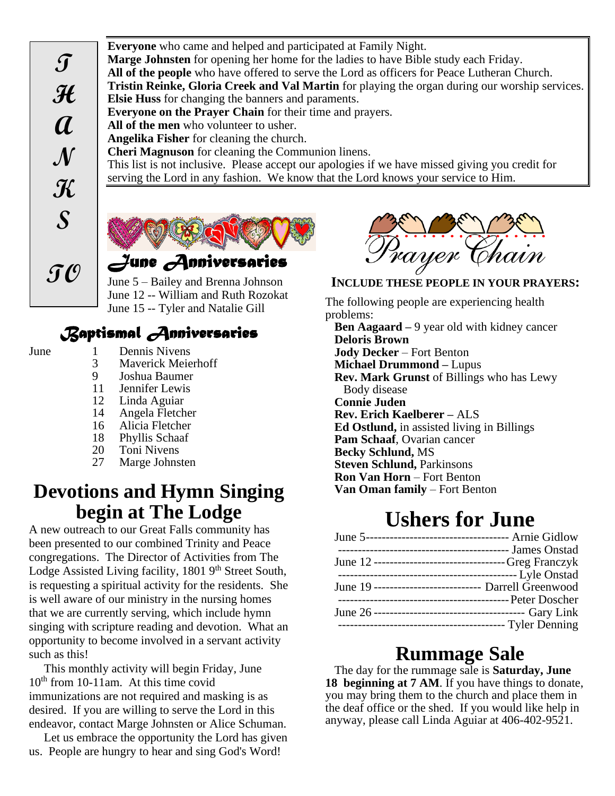**Everyone** who came and helped and participated at Family Night. **Marge Johnsten** for opening her home for the ladies to have Bible study each Friday. **All of the people** who have offered to serve the Lord as officers for Peace Lutheran Church. **Tristin Reinke, Gloria Creek and Val Martin** for playing the organ during our worship services. **Elsie Huss** for changing the banners and paraments. **Everyone on the Prayer Chain** for their time and prayers. **All of the men** who volunteer to usher. **Angelika Fisher** for cleaning the church. **Cheri Magnuson** for cleaning the Communion linens. This list is not inclusive. Please accept our apologies if we have missed giving you credit for serving the Lord in any fashion. We know that the Lord knows your service to Him.



June 5 – Bailey and Brenna Johnson June 12 -- William and Ruth Rozokat June 15 -- Tyler and Natalie Gill

#### *Baptismal Anniversaries*

- 
- June 1 Dennis Nivens
	- 3 Maverick Meierhoff<br>9 Joshua Baumer
	- 9 Joshua Baumer
	- Jennifer Lewis
	- 12 Linda Aguiar
	- 14 Angela Fletcher
	- 16 Alicia Fletcher
	- 18 Phyllis Schaaf<br>20 Toni Nivens
	- **Toni Nivens**
	- 27 Marge Johnsten

#### **Devotions and Hymn Singing begin at The Lodge**

A new outreach to our Great Falls community has been presented to our combined Trinity and Peace congregations. The Director of Activities from The Lodge Assisted Living facility, 1801 9<sup>th</sup> Street South, is requesting a spiritual activity for the residents. She is well aware of our ministry in the nursing homes that we are currently serving, which include hymn singing with scripture reading and devotion. What an opportunity to become involved in a servant activity such as this!

This monthly activity will begin Friday, June  $10<sup>th</sup>$  from 10-11am. At this time covid immunizations are not required and masking is as desired. If you are willing to serve the Lord in this endeavor, contact Marge Johnsten or Alice Schuman.

Let us embrace the opportunity the Lord has given us. People are hungry to hear and sing God's Word!



#### **INCLUDE THESE PEOPLE IN YOUR PRAYERS:**

The following people are experiencing health problems: **Ben Aagaard –** 9 year old with kidney cancer

**Deloris Brown Jody Decker** – Fort Benton **Michael Drummond –** Lupus **Rev. Mark Grunst** of Billings who has Lewy Body disease **Connie Juden Rev. Erich Kaelberer –** ALS **Ed Ostlund,** in assisted living in Billings **Pam Schaaf**, Ovarian cancer **Becky Schlund,** MS **Steven Schlund, Parkinsons Ron Van Horn** – Fort Benton **Van Oman family** – Fort Benton

# **Ushers for June**

| June 12 ---------------------------------Greg Franczyk |                                                  |
|--------------------------------------------------------|--------------------------------------------------|
|                                                        | ------------------------------------ Lyle Onstad |
| June 19 ---------------------------- Darrell Greenwood |                                                  |
|                                                        |                                                  |
|                                                        |                                                  |
|                                                        | ---------------------------------- Tyler Denning |
|                                                        |                                                  |

#### **Rummage Sale**

The day for the rummage sale is **Saturday, June 18 beginning at 7 AM**. If you have things to donate, you may bring them to the church and place them in the deaf office or the shed. If you would like help in anyway, please call Linda Aguiar at 406-402-9521.